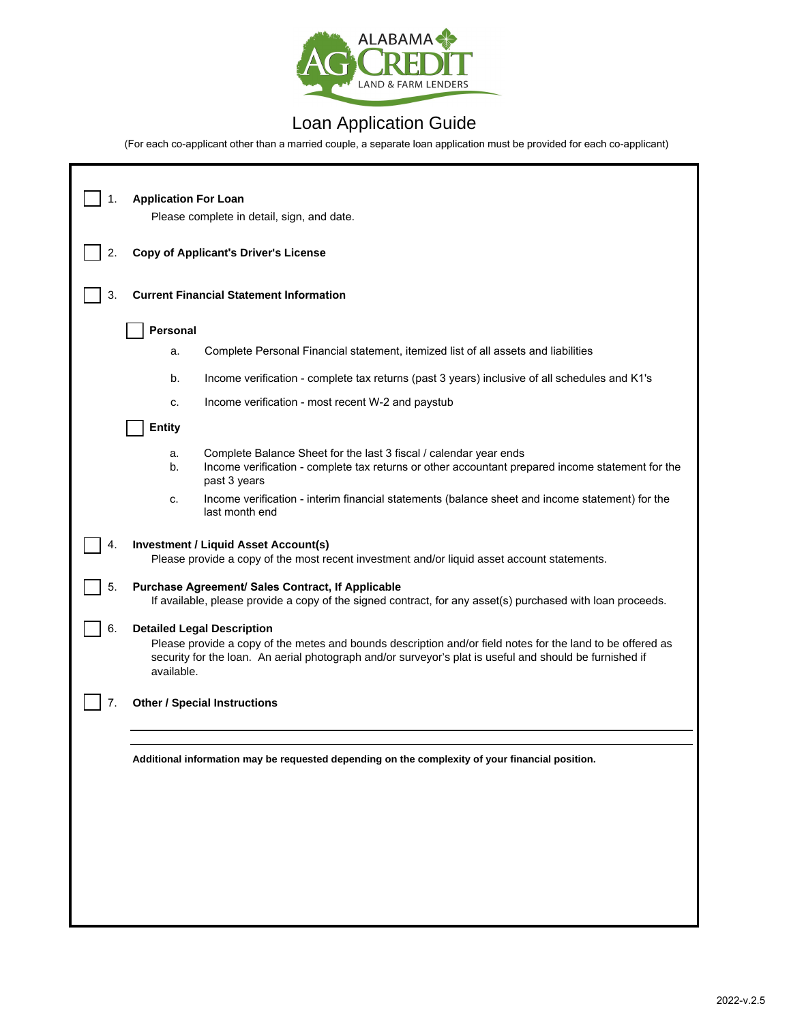

# Loan Application Guide

(For each co-applicant other than a married couple, a separate loan application must be provided for each co-applicant)

|    | <b>Application For Loan</b><br>Please complete in detail, sign, and date.                                                                                                                                                                                                |  |  |  |  |  |  |  |
|----|--------------------------------------------------------------------------------------------------------------------------------------------------------------------------------------------------------------------------------------------------------------------------|--|--|--|--|--|--|--|
| 2. | <b>Copy of Applicant's Driver's License</b>                                                                                                                                                                                                                              |  |  |  |  |  |  |  |
| 3. | <b>Current Financial Statement Information</b>                                                                                                                                                                                                                           |  |  |  |  |  |  |  |
|    | Personal                                                                                                                                                                                                                                                                 |  |  |  |  |  |  |  |
|    | Complete Personal Financial statement, itemized list of all assets and liabilities<br>a.                                                                                                                                                                                 |  |  |  |  |  |  |  |
|    | b.<br>Income verification - complete tax returns (past 3 years) inclusive of all schedules and K1's                                                                                                                                                                      |  |  |  |  |  |  |  |
|    | Income verification - most recent W-2 and paystub<br>c.                                                                                                                                                                                                                  |  |  |  |  |  |  |  |
|    | <b>Entity</b>                                                                                                                                                                                                                                                            |  |  |  |  |  |  |  |
|    | Complete Balance Sheet for the last 3 fiscal / calendar year ends<br>a.<br>b.<br>Income verification - complete tax returns or other accountant prepared income statement for the<br>past 3 years                                                                        |  |  |  |  |  |  |  |
|    | Income verification - interim financial statements (balance sheet and income statement) for the<br>c.<br>last month end                                                                                                                                                  |  |  |  |  |  |  |  |
| 4. | <b>Investment / Liquid Asset Account(s)</b><br>Please provide a copy of the most recent investment and/or liquid asset account statements.                                                                                                                               |  |  |  |  |  |  |  |
| 5. | Purchase Agreement/ Sales Contract, If Applicable<br>If available, please provide a copy of the signed contract, for any asset(s) purchased with loan proceeds.                                                                                                          |  |  |  |  |  |  |  |
| 6. | <b>Detailed Legal Description</b><br>Please provide a copy of the metes and bounds description and/or field notes for the land to be offered as<br>security for the loan. An aerial photograph and/or surveyor's plat is useful and should be furnished if<br>available. |  |  |  |  |  |  |  |
| 7. | <b>Other / Special Instructions</b>                                                                                                                                                                                                                                      |  |  |  |  |  |  |  |
|    |                                                                                                                                                                                                                                                                          |  |  |  |  |  |  |  |
|    | Additional information may be requested depending on the complexity of your financial position.                                                                                                                                                                          |  |  |  |  |  |  |  |
|    |                                                                                                                                                                                                                                                                          |  |  |  |  |  |  |  |
|    |                                                                                                                                                                                                                                                                          |  |  |  |  |  |  |  |
|    |                                                                                                                                                                                                                                                                          |  |  |  |  |  |  |  |
|    |                                                                                                                                                                                                                                                                          |  |  |  |  |  |  |  |
|    |                                                                                                                                                                                                                                                                          |  |  |  |  |  |  |  |
|    |                                                                                                                                                                                                                                                                          |  |  |  |  |  |  |  |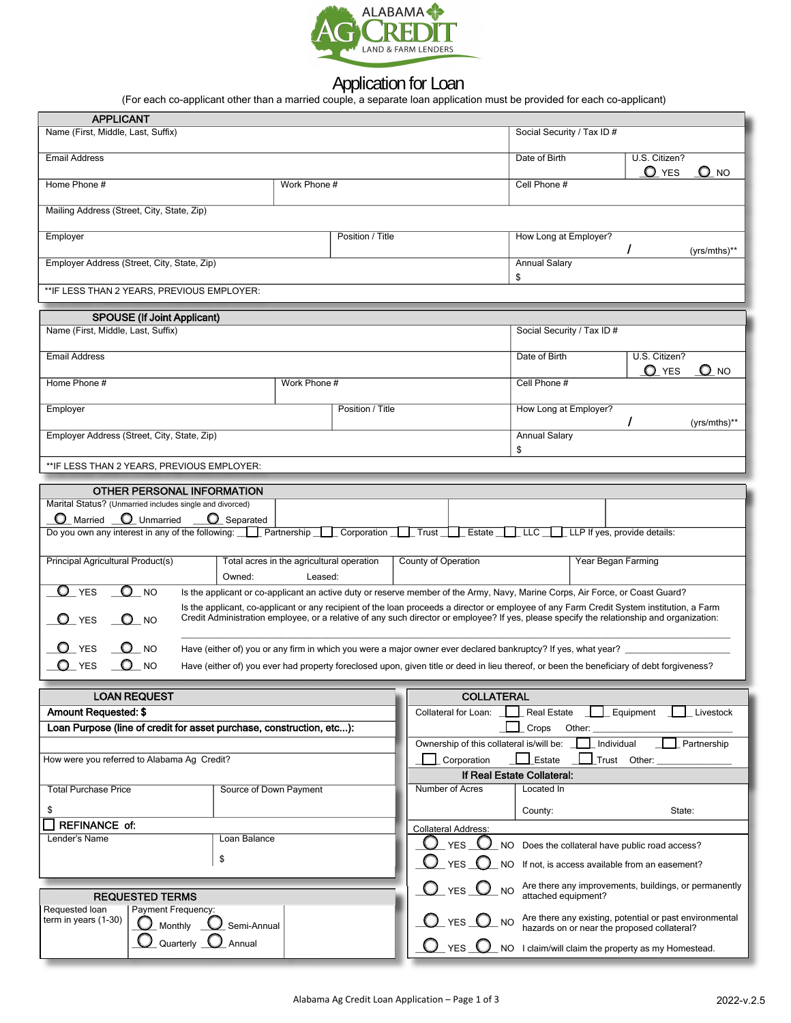

## Application for Loan

(For each co-applicant other than a married couple, a separate loan application must be provided for each co-applicant)

| <b>APPLICANT</b>                                                                                                                                                                                                                                                                                                     |                                                                                                                               |                     |                                                                                                                              |                                      |                    |                                                              |  |  |
|----------------------------------------------------------------------------------------------------------------------------------------------------------------------------------------------------------------------------------------------------------------------------------------------------------------------|-------------------------------------------------------------------------------------------------------------------------------|---------------------|------------------------------------------------------------------------------------------------------------------------------|--------------------------------------|--------------------|--------------------------------------------------------------|--|--|
| Name (First, Middle, Last, Suffix)                                                                                                                                                                                                                                                                                   |                                                                                                                               |                     |                                                                                                                              | Social Security / Tax ID #           |                    |                                                              |  |  |
| <b>Email Address</b>                                                                                                                                                                                                                                                                                                 |                                                                                                                               |                     |                                                                                                                              | Date of Birth                        |                    | U.S. Citizen?<br>$\bullet$ YES<br>$\Omega$ NO                |  |  |
| Home Phone #                                                                                                                                                                                                                                                                                                         | Work Phone #                                                                                                                  |                     |                                                                                                                              | Cell Phone #                         |                    |                                                              |  |  |
| Mailing Address (Street, City, State, Zip)                                                                                                                                                                                                                                                                           |                                                                                                                               |                     |                                                                                                                              |                                      |                    |                                                              |  |  |
| Employer                                                                                                                                                                                                                                                                                                             | Position / Title                                                                                                              |                     |                                                                                                                              | How Long at Employer?                |                    | $(yrs/mths)$ **                                              |  |  |
| Employer Address (Street, City, State, Zip)                                                                                                                                                                                                                                                                          |                                                                                                                               |                     |                                                                                                                              | <b>Annual Salary</b>                 |                    |                                                              |  |  |
| ** IF LESS THAN 2 YEARS, PREVIOUS EMPLOYER:                                                                                                                                                                                                                                                                          |                                                                                                                               |                     |                                                                                                                              | \$                                   |                    |                                                              |  |  |
| <b>SPOUSE (If Joint Applicant)</b>                                                                                                                                                                                                                                                                                   |                                                                                                                               |                     |                                                                                                                              |                                      |                    |                                                              |  |  |
| Name (First, Middle, Last, Suffix)                                                                                                                                                                                                                                                                                   |                                                                                                                               |                     |                                                                                                                              | Social Security / Tax ID #           |                    |                                                              |  |  |
|                                                                                                                                                                                                                                                                                                                      |                                                                                                                               |                     |                                                                                                                              |                                      |                    |                                                              |  |  |
| <b>Email Address</b>                                                                                                                                                                                                                                                                                                 |                                                                                                                               |                     |                                                                                                                              | Date of Birth                        |                    | U.S. Citizen?<br>O<br><b>YES</b><br>$\mathbf{\mathsf{O}}$ NO |  |  |
| Home Phone #                                                                                                                                                                                                                                                                                                         | Work Phone #                                                                                                                  |                     |                                                                                                                              | Cell Phone #                         |                    |                                                              |  |  |
| Employer                                                                                                                                                                                                                                                                                                             | Position / Title                                                                                                              |                     |                                                                                                                              | How Long at Employer?                |                    | (yrs/mths)**                                                 |  |  |
| Employer Address (Street, City, State, Zip)                                                                                                                                                                                                                                                                          |                                                                                                                               |                     |                                                                                                                              | <b>Annual Salary</b><br>\$           |                    |                                                              |  |  |
| **IF LESS THAN 2 YEARS, PREVIOUS EMPLOYER:                                                                                                                                                                                                                                                                           |                                                                                                                               |                     |                                                                                                                              |                                      |                    |                                                              |  |  |
| OTHER PERSONAL INFORMATION                                                                                                                                                                                                                                                                                           |                                                                                                                               |                     |                                                                                                                              |                                      |                    |                                                              |  |  |
| Marital Status? (Unmarried includes single and divorced)                                                                                                                                                                                                                                                             |                                                                                                                               |                     |                                                                                                                              |                                      |                    |                                                              |  |  |
| Married OUnmarried<br>O Separated                                                                                                                                                                                                                                                                                    |                                                                                                                               |                     |                                                                                                                              |                                      |                    |                                                              |  |  |
| Do you own any interest in any of the following:<br>Partnership Corporation<br>LLC LLP If yes, provide details:<br>$\Box$ Trust<br>Estate                                                                                                                                                                            |                                                                                                                               |                     |                                                                                                                              |                                      |                    |                                                              |  |  |
| Principal Agricultural Product(s)                                                                                                                                                                                                                                                                                    | Total acres in the agricultural operation                                                                                     | County of Operation |                                                                                                                              |                                      | Year Began Farming |                                                              |  |  |
| Owned:                                                                                                                                                                                                                                                                                                               | Leased:                                                                                                                       |                     |                                                                                                                              |                                      |                    |                                                              |  |  |
| $\mathbf{O}$ YES<br><b>NO</b>                                                                                                                                                                                                                                                                                        | Is the applicant or co-applicant an active duty or reserve member of the Army, Navy, Marine Corps, Air Force, or Coast Guard? |                     |                                                                                                                              |                                      |                    |                                                              |  |  |
| Is the applicant, co-applicant or any recipient of the loan proceeds a director or employee of any Farm Credit System institution, a Farm<br>Credit Administration employee, or a relative of any such director or employee? If yes, please specify the relationship and organization:<br>$\mathbf{O}$ YES<br>$O$ NO |                                                                                                                               |                     |                                                                                                                              |                                      |                    |                                                              |  |  |
|                                                                                                                                                                                                                                                                                                                      |                                                                                                                               |                     |                                                                                                                              |                                      |                    |                                                              |  |  |
| <b>YES</b><br><b>NO</b><br>Have (either of) you or any firm in which you were a major owner ever declared bankruptcy? If yes, what year?                                                                                                                                                                             |                                                                                                                               |                     |                                                                                                                              |                                      |                    |                                                              |  |  |
| <b>YES</b><br><b>NO</b><br>Have (either of) you ever had property foreclosed upon, given title or deed in lieu thereof, or been the beneficiary of debt forgiveness?                                                                                                                                                 |                                                                                                                               |                     |                                                                                                                              |                                      |                    |                                                              |  |  |
| <b>LOAN REQUEST</b><br><b>COLLATERAL</b>                                                                                                                                                                                                                                                                             |                                                                                                                               |                     |                                                                                                                              |                                      |                    |                                                              |  |  |
| Amount Requested: \$                                                                                                                                                                                                                                                                                                 |                                                                                                                               |                     | Collateral for Loan:                                                                                                         | <b>Real Estate</b>                   |                    | Equipment<br>Livestock                                       |  |  |
| Loan Purpose (line of credit for asset purchase, construction, etc):                                                                                                                                                                                                                                                 |                                                                                                                               |                     |                                                                                                                              | Crops                                | Other:             |                                                              |  |  |
|                                                                                                                                                                                                                                                                                                                      |                                                                                                                               |                     | Ownership of this collateral is/will be:                                                                                     |                                      | Individual         | Partnership                                                  |  |  |
| How were you referred to Alabama Ag Credit?                                                                                                                                                                                                                                                                          |                                                                                                                               |                     | Corporation                                                                                                                  | Estate<br>If Real Estate Collateral: | Trust Other:       |                                                              |  |  |
| <b>Total Purchase Price</b>                                                                                                                                                                                                                                                                                          | Source of Down Payment                                                                                                        |                     | Number of Acres                                                                                                              | Located In                           |                    |                                                              |  |  |
| \$                                                                                                                                                                                                                                                                                                                   |                                                                                                                               |                     |                                                                                                                              |                                      |                    | State:                                                       |  |  |
| <b>REFINANCE of:</b>                                                                                                                                                                                                                                                                                                 |                                                                                                                               |                     |                                                                                                                              | County:                              |                    |                                                              |  |  |
| Lender's Name<br>Loan Balance                                                                                                                                                                                                                                                                                        |                                                                                                                               |                     | <b>Collateral Address:</b><br><b>YES</b>                                                                                     |                                      |                    |                                                              |  |  |
| \$                                                                                                                                                                                                                                                                                                                   |                                                                                                                               |                     |                                                                                                                              |                                      |                    | NO Does the collateral have public road access?              |  |  |
|                                                                                                                                                                                                                                                                                                                      |                                                                                                                               |                     | YES<br>NO                                                                                                                    |                                      |                    | If not, is access available from an easement?                |  |  |
| <b>REQUESTED TERMS</b>                                                                                                                                                                                                                                                                                               |                                                                                                                               |                     | $O$ YES $O$<br><b>NO</b>                                                                                                     | attached equipment?                  |                    | Are there any improvements, buildings, or permanently        |  |  |
| Requested loan<br>Payment Frequency:<br>term in years (1-30)<br>Monthly<br>Semi-Annual                                                                                                                                                                                                                               |                                                                                                                               |                     | Are there any existing, potential or past environmental<br>hazards on or near the proposed collateral?<br>YES U<br><b>NO</b> |                                      |                    |                                                              |  |  |
| Quarterly<br>Annual                                                                                                                                                                                                                                                                                                  |                                                                                                                               |                     | <b>YES</b>                                                                                                                   |                                      |                    | NO I claim/will claim the property as my Homestead.          |  |  |
|                                                                                                                                                                                                                                                                                                                      |                                                                                                                               |                     |                                                                                                                              |                                      |                    |                                                              |  |  |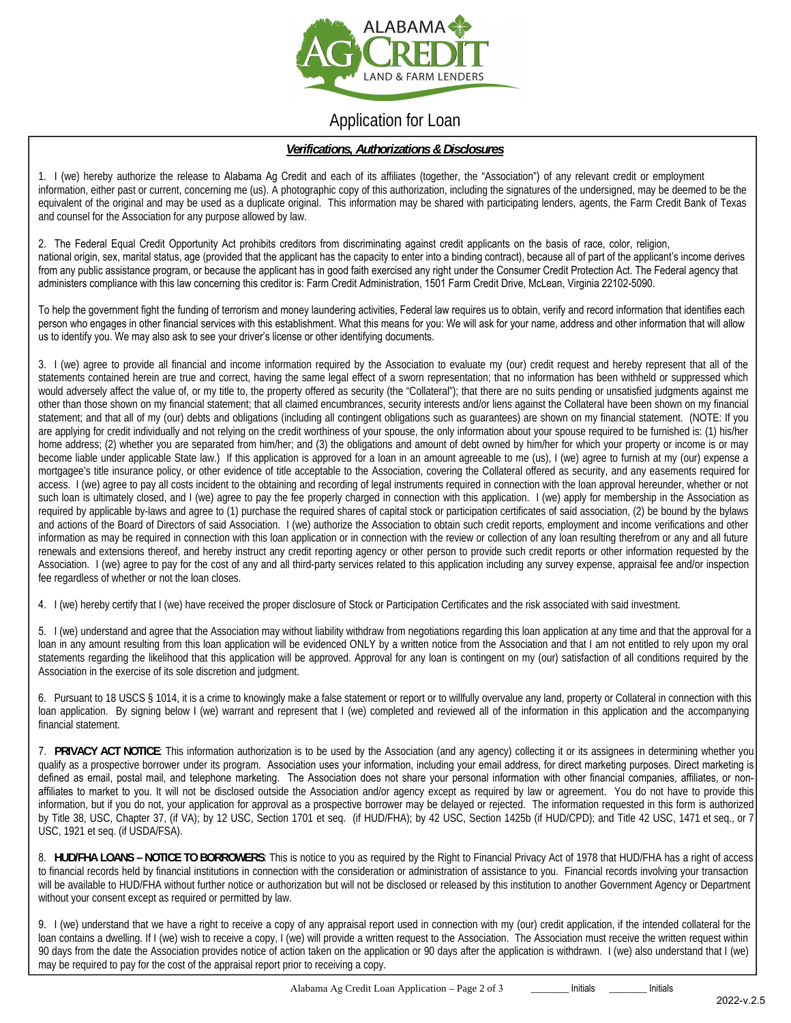

# Application for Loan

## *Verifications, Authorizations & Disclosures*

1. I (we) hereby authorize the release to Alabama Ag Credit and each of its affiliates (together, the "Association") of any relevant credit or employment information, either past or current, concerning me (us). A photographic copy of this authorization, including the signatures of the undersigned, may be deemed to be the equivalent of the original and may be used as a duplicate original. This information may be shared with participating lenders, agents, the Farm Credit Bank of Texas and counsel for the Association for any purpose allowed by law.

2. The Federal Equal Credit Opportunity Act prohibits creditors from discriminating against credit applicants on the basis of race, color, religion, national origin, sex, marital status, age (provided that the applicant has the capacity to enter into a binding contract), because all of part of the applicant's income derives from any public assistance program, or because the applicant has in good faith exercised any right under the Consumer Credit Protection Act. The Federal agency that administers compliance with this law concerning this creditor is: Farm Credit Administration, 1501 Farm Credit Drive, McLean, Virginia 22102-5090.

To help the government fight the funding of terrorism and money laundering activities, Federal law requires us to obtain, verify and record information that identifies each person who engages in other financial services with this establishment. What this means for you: We will ask for your name, address and other information that will allow us to identify you. We may also ask to see your driver's license or other identifying documents.

3. I (we) agree to provide all financial and income information required by the Association to evaluate my (our) credit request and hereby represent that all of the statements contained herein are true and correct, having the same legal effect of a sworn representation; that no information has been withheld or suppressed which would adversely affect the value of, or my title to, the property offered as security (the "Collateral"); that there are no suits pending or unsatisfied judgments against me other than those shown on my financial statement; that all claimed encumbrances, security interests and/or liens against the Collateral have been shown on my financial statement; and that all of my (our) debts and obligations (including all contingent obligations such as guarantees) are shown on my financial statement. (NOTE: If you are applying for credit individually and not relying on the credit worthiness of your spouse, the only information about your spouse required to be furnished is: (1) his/her home address; (2) whether you are separated from him/her; and (3) the obligations and amount of debt owned by him/her for which your property or income is or may become liable under applicable State law.) If this application is approved for a loan in an amount agreeable to me (us), I (we) agree to furnish at my (our) expense a mortgagee's title insurance policy, or other evidence of title acceptable to the Association, covering the Collateral offered as security, and any easements required for access. I (we) agree to pay all costs incident to the obtaining and recording of legal instruments required in connection with the loan approval hereunder, whether or not such loan is ultimately closed, and I (we) agree to pay the fee properly charged in connection with this application. I (we) apply for membership in the Association as required by applicable by-laws and agree to (1) purchase the required shares of capital stock or participation certificates of said association, (2) be bound by the bylaws and actions of the Board of Directors of said Association. I (we) authorize the Association to obtain such credit reports, employment and income verifications and other information as may be required in connection with this loan application or in connection with the review or collection of any loan resulting therefrom or any and all future renewals and extensions thereof, and hereby instruct any credit reporting agency or other person to provide such credit reports or other information requested by the Association. I (we) agree to pay for the cost of any and all third-party services related to this application including any survey expense, appraisal fee and/or inspection fee regardless of whether or not the loan closes.

4. I (we) hereby certify that I (we) have received the proper disclosure of Stock or Participation Certificates and the risk associated with said investment.

5. I (we) understand and agree that the Association may without liability withdraw from negotiations regarding this loan application at any time and that the approval for a loan in any amount resulting from this loan application will be evidenced ONLY by a written notice from the Association and that I am not entitled to rely upon my oral statements regarding the likelihood that this application will be approved. Approval for any loan is contingent on my (our) satisfaction of all conditions required by the Association in the exercise of its sole discretion and judgment.

6. Pursuant to 18 USCS § 1014, it is a crime to knowingly make a false statement or report or to willfully overvalue any land, property or Collateral in connection with this loan application. By signing below I (we) warrant and represent that I (we) completed and reviewed all of the information in this application and the accompanying financial statement.

7. **PRIVACY ACT NOTICE**: This information authorization is to be used by the Association (and any agency) collecting it or its assignees in determining whether you qualify as a prospective borrower under its program. Association uses your information, including your email address, for direct marketing purposes. Direct marketing is defined as email, postal mail, and telephone marketing. The Association does not share your personal information with other financial companies, affiliates, or nonaffiliates to market to you. It will not be disclosed outside the Association and/or agency except as required by law or agreement. You do not have to provide this information, but if you do not, your application for approval as a prospective borrower may be delayed or rejected. The information requested in this form is authorized by Title 38, USC, Chapter 37, (if VA); by 12 USC, Section 1701 et seq. (if HUD/FHA); by 42 USC, Section 1425b (if HUD/CPD); and Title 42 USC, 1471 et seq., or 7 USC, 1921 et seq. (if USDA/FSA).

8. **HUD/FHA LOANS – NOTICE TO BORROWERS**: This is notice to you as required by the Right to Financial Privacy Act of 1978 that HUD/FHA has a right of access to financial records held by financial institutions in connection with the consideration or administration of assistance to you. Financial records involving your transaction will be available to HUD/FHA without further notice or authorization but will not be disclosed or released by this institution to another Government Agency or Department without your consent except as required or permitted by law.

9. I (we) understand that we have a right to receive a copy of any appraisal report used in connection with my (our) credit application, if the intended collateral for the loan contains a dwelling. If I (we) wish to receive a copy, I (we) will provide a written request to the Association. The Association must receive the written request within 90 days from the date the Association provides notice of action taken on the application or 90 days after the application is withdrawn. I (we) also understand that I (we) may be required to pay for the cost of the appraisal report prior to receiving a copy.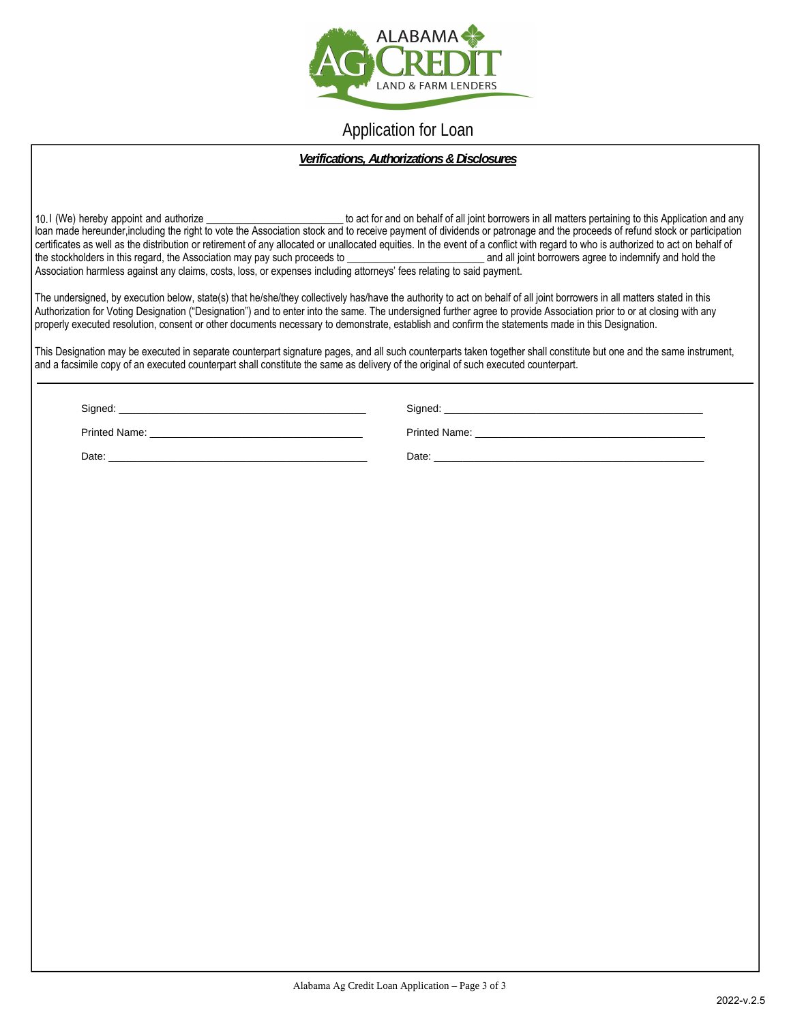

# Application for Loan

### *Verifications, Authorizations & Disclosures*

10. I (We) hereby appoint and authorize \_\_\_\_\_\_\_\_\_\_\_\_\_\_\_\_\_\_\_\_\_\_\_\_\_\_\_\_\_\_\_to act for and on behalf of all joint borrowers in all matters pertaining to this Application and any loan made hereunder,including the right to vote the Association stock and to receive payment of dividends or patronage and the proceeds of refund stock or participation certificates as well as the distribution or retirement of any allocated or unallocated equities. In the event of a conflict with regard to who is authorized to act on behalf of the stockholders in this regard, the Associat the stockholders in this regard, the Association may pay such proceeds to Association harmless against any claims, costs, loss, or expenses including attorneys' fees relating to said payment.

The undersigned, by execution below, state(s) that he/she/they collectively has/have the authority to act on behalf of all joint borrowers in all matters stated in this Authorization for Voting Designation ("Designation") and to enter into the same. The undersigned further agree to provide Association prior to or at closing with any properly executed resolution, consent or other documents necessary to demonstrate, establish and confirm the statements made in this Designation.

This Designation may be executed in separate counterpart signature pages, and all such counterparts taken together shall constitute but one and the same instrument, and a facsimile copy of an executed counterpart shall constitute the same as delivery of the original of such executed counterpart.

Signed:

Signed:

Printed Name: \_\_\_\_\_\_\_\_\_\_\_\_\_\_\_\_\_\_\_\_\_\_\_\_\_\_\_\_\_\_\_\_\_\_\_\_\_

Printed Name: \_\_\_\_\_\_\_\_\_\_\_\_\_\_\_\_\_\_\_\_\_\_\_\_\_\_\_\_\_\_\_\_\_\_\_\_\_\_\_\_

Date: \_\_\_\_\_\_\_\_\_\_\_\_\_\_\_\_\_\_\_\_\_\_\_\_\_\_\_\_\_\_\_\_\_\_\_\_\_\_\_\_\_\_\_\_\_\_\_

Date: \_\_\_\_\_\_\_\_\_\_\_\_\_\_\_\_\_\_\_\_\_\_\_\_\_\_\_\_\_\_\_\_\_\_\_\_\_\_\_\_\_\_\_\_\_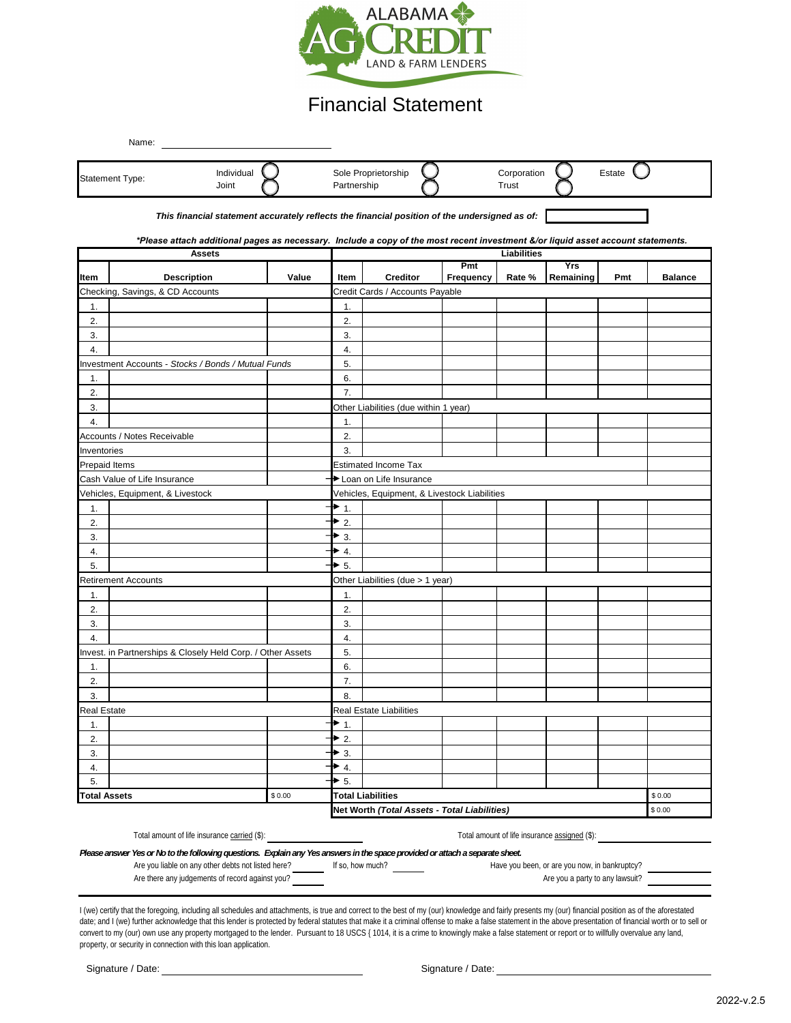

# Financial Statement

| Name:                  |                                                                                                                                  |          |             |                     |     |                      |     |        |  |
|------------------------|----------------------------------------------------------------------------------------------------------------------------------|----------|-------------|---------------------|-----|----------------------|-----|--------|--|
| <b>Statement Type:</b> | Individual<br>Joint                                                                                                              |          | Partnership | Sole Proprietorship |     | Corporation<br>Trust |     | Estate |  |
|                        | This financial statement accurately reflects the financial position of the undersigned as of:                                    |          |             |                     |     |                      |     |        |  |
|                        | *Please attach additional pages as necessary. Include a copy of the most recent investment &/or liquid asset account statements. |          |             |                     |     |                      |     |        |  |
|                        | <b>Assets</b>                                                                                                                    |          |             |                     |     | Liabilities          |     |        |  |
|                        | $\cdots$                                                                                                                         | $\cdots$ |             |                     | Pmt |                      | Yrs | . .    |  |

| <b>Item</b>                  | <b>Description</b>                                          | Value  | Item                     | <b>Creditor</b>                              | Frequency | Rate % | Remaining | Pmt | <b>Balance</b> |
|------------------------------|-------------------------------------------------------------|--------|--------------------------|----------------------------------------------|-----------|--------|-----------|-----|----------------|
|                              | Checking, Savings, & CD Accounts                            |        |                          | Credit Cards / Accounts Payable              |           |        |           |     |                |
| 1.                           |                                                             |        | 1.                       |                                              |           |        |           |     |                |
| 2.                           |                                                             |        | 2.                       |                                              |           |        |           |     |                |
| 3.                           |                                                             |        | 3.                       |                                              |           |        |           |     |                |
| 4.                           |                                                             |        | 4.                       |                                              |           |        |           |     |                |
|                              | Investment Accounts - Stocks / Bonds / Mutual Funds         |        | 5.                       |                                              |           |        |           |     |                |
| 1.                           |                                                             |        | 6.                       |                                              |           |        |           |     |                |
| 2.                           |                                                             |        | 7.                       |                                              |           |        |           |     |                |
| 3.                           |                                                             |        |                          | Other Liabilities (due within 1 year)        |           |        |           |     |                |
| 4.                           |                                                             |        | 1.                       |                                              |           |        |           |     |                |
|                              | Accounts / Notes Receivable                                 |        | 2.                       |                                              |           |        |           |     |                |
| Inventories                  |                                                             |        | 3.                       |                                              |           |        |           |     |                |
| Prepaid Items                |                                                             |        |                          | <b>Estimated Income Tax</b>                  |           |        |           |     |                |
| Cash Value of Life Insurance |                                                             |        |                          | Loan on Life Insurance                       |           |        |           |     |                |
|                              | Vehicles, Equipment, & Livestock                            |        |                          | Vehicles, Equipment, & Livestock Liabilities |           |        |           |     |                |
| 1.                           |                                                             |        | $\blacktriangleright$ 1. |                                              |           |        |           |     |                |
| 2.                           |                                                             |        | $\bullet$ 2.             |                                              |           |        |           |     |                |
| 3.                           |                                                             |        | $\bullet$ 3.             |                                              |           |        |           |     |                |
| 4.                           |                                                             |        | $\blacktriangleright$ 4. |                                              |           |        |           |     |                |
| 5.                           |                                                             |        | $\blacktriangleright$ 5. |                                              |           |        |           |     |                |
|                              | <b>Retirement Accounts</b>                                  |        |                          | Other Liabilities (due > 1 year)             |           |        |           |     |                |
| 1.                           |                                                             |        | 1.                       |                                              |           |        |           |     |                |
| 2.                           |                                                             |        | 2.                       |                                              |           |        |           |     |                |
| 3.                           |                                                             |        | 3.                       |                                              |           |        |           |     |                |
| $\overline{4}$ .             |                                                             |        | 4.                       |                                              |           |        |           |     |                |
|                              | Invest. in Partnerships & Closely Held Corp. / Other Assets |        | 5.                       |                                              |           |        |           |     |                |
| 1.                           |                                                             |        | 6.                       |                                              |           |        |           |     |                |
| 2.                           |                                                             |        | 7.                       |                                              |           |        |           |     |                |
| 3.                           |                                                             |        | 8.                       |                                              |           |        |           |     |                |
| <b>Real Estate</b>           |                                                             |        |                          | <b>Real Estate Liabilities</b>               |           |        |           |     |                |
| 1.                           |                                                             |        | $\mathbf{P}_{1}$         |                                              |           |        |           |     |                |
| 2.                           |                                                             |        | $\blacktriangleright$ 2. |                                              |           |        |           |     |                |
| 3.                           |                                                             |        | $\rightarrow$ 3.         |                                              |           |        |           |     |                |
| 4.                           |                                                             |        | $\blacktriangleright$ 4. |                                              |           |        |           |     |                |
| 5.                           |                                                             |        | $\blacktriangleright$ 5. |                                              |           |        |           |     |                |
| <b>Total Assets</b>          |                                                             | \$0.00 |                          | <b>Total Liabilities</b>                     |           |        |           |     | \$0.00         |
|                              |                                                             |        |                          | Net Worth (Total Assets - Total Liabilities) |           |        |           |     | \$0.00         |
|                              |                                                             |        |                          |                                              |           |        |           |     |                |

Total amount of life insurance carried (\$): Total amount of life insurance assigned (\$):

*Please answer Yes or No to the following questions. Explain any Yes answers in the space provided or attach a separate sheet.*

| Are you liable on any other debts not listed here? | It so. how much? | Have you been, or are you now, in bankruptcy? |  |
|----------------------------------------------------|------------------|-----------------------------------------------|--|
| Are there any judgements of record against you?    |                  | Are you a party to any lawsuit?               |  |
|                                                    |                  |                                               |  |

I (we) certify that the foregoing, including all schedules and attachments, is true and correct to the best of my (our) knowledge and fairly presents my (our) financial position as of the aforestated date; and I (we) further acknowledge that this lender is protected by federal statutes that make it a criminal offense to make a false statement in the above presentation of financial worth or to sell or convert to my (our) own use any property mortgaged to the lender. Pursuant to 18 USCS { 1014, it is a crime to knowingly make a false statement or report or to willfully overvalue any land, property, or security in connection with this loan application.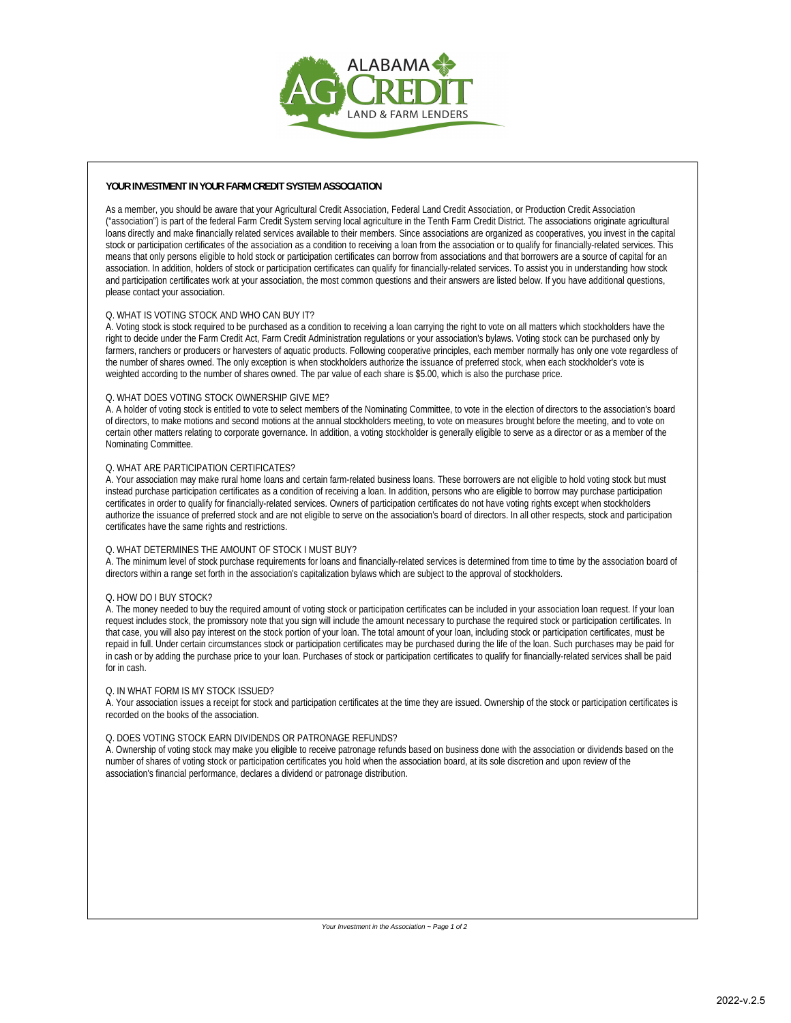

#### **YOUR INVESTMENT IN YOUR FARM CREDIT SYSTEM ASSOCIATION**

As a member, you should be aware that your Agricultural Credit Association, Federal Land Credit Association, or Production Credit Association ("association") is part of the federal Farm Credit System serving local agriculture in the Tenth Farm Credit District. The associations originate agricultural loans directly and make financially related services available to their members. Since associations are organized as cooperatives, you invest in the capital stock or participation certificates of the association as a condition to receiving a loan from the association or to qualify for financially-related services. This means that only persons eligible to hold stock or participation certificates can borrow from associations and that borrowers are a source of capital for an association. In addition, holders of stock or participation certificates can qualify for financially-related services. To assist you in understanding how stock and participation certificates work at your association, the most common questions and their answers are listed below. If you have additional questions, please contact your association.

#### Q. WHAT IS VOTING STOCK AND WHO CAN BUY IT?

A. Voting stock is stock required to be purchased as a condition to receiving a loan carrying the right to vote on all matters which stockholders have the right to decide under the Farm Credit Act, Farm Credit Administration regulations or your association's bylaws. Voting stock can be purchased only by farmers, ranchers or producers or harvesters of aquatic products. Following cooperative principles, each member normally has only one vote regardless of the number of shares owned. The only exception is when stockholders authorize the issuance of preferred stock, when each stockholder's vote is weighted according to the number of shares owned. The par value of each share is \$5.00, which is also the purchase price.

#### Q. WHAT DOES VOTING STOCK OWNERSHIP GIVE ME?

A. A holder of voting stock is entitled to vote to select members of the Nominating Committee, to vote in the election of directors to the association's board of directors, to make motions and second motions at the annual stockholders meeting, to vote on measures brought before the meeting, and to vote on certain other matters relating to corporate governance. In addition, a voting stockholder is generally eligible to serve as a director or as a member of the Nominating Committee.

#### Q. WHAT ARE PARTICIPATION CERTIFICATES?

A. Your association may make rural home loans and certain farm-related business loans. These borrowers are not eligible to hold voting stock but must instead purchase participation certificates as a condition of receiving a loan. In addition, persons who are eligible to borrow may purchase participation certificates in order to qualify for financially-related services. Owners of participation certificates do not have voting rights except when stockholders authorize the issuance of preferred stock and are not eligible to serve on the association's board of directors. In all other respects, stock and participation certificates have the same rights and restrictions.

#### Q. WHAT DETERMINES THE AMOUNT OF STOCK I MUST BUY?

A. The minimum level of stock purchase requirements for loans and financially-related services is determined from time to time by the association board of directors within a range set forth in the association's capitalization bylaws which are subject to the approval of stockholders.

#### Q. HOW DO I BUY STOCK?

A. The money needed to buy the required amount of voting stock or participation certificates can be included in your association loan request. If your loan request includes stock, the promissory note that you sign will include the amount necessary to purchase the required stock or participation certificates. In that case, you will also pay interest on the stock portion of your loan. The total amount of your loan, including stock or participation certificates, must be repaid in full. Under certain circumstances stock or participation certificates may be purchased during the life of the loan. Such purchases may be paid for in cash or by adding the purchase price to your loan. Purchases of stock or participation certificates to qualify for financially-related services shall be paid for in cash.

#### Q. IN WHAT FORM IS MY STOCK ISSUED?

A. Your association issues a receipt for stock and participation certificates at the time they are issued. Ownership of the stock or participation certificates is recorded on the books of the association.

#### Q. DOES VOTING STOCK EARN DIVIDENDS OR PATRONAGE REFUNDS?

A. Ownership of voting stock may make you eligible to receive patronage refunds based on business done with the association or dividends based on the number of shares of voting stock or participation certificates you hold when the association board, at its sole discretion and upon review of the association's financial performance, declares a dividend or patronage distribution.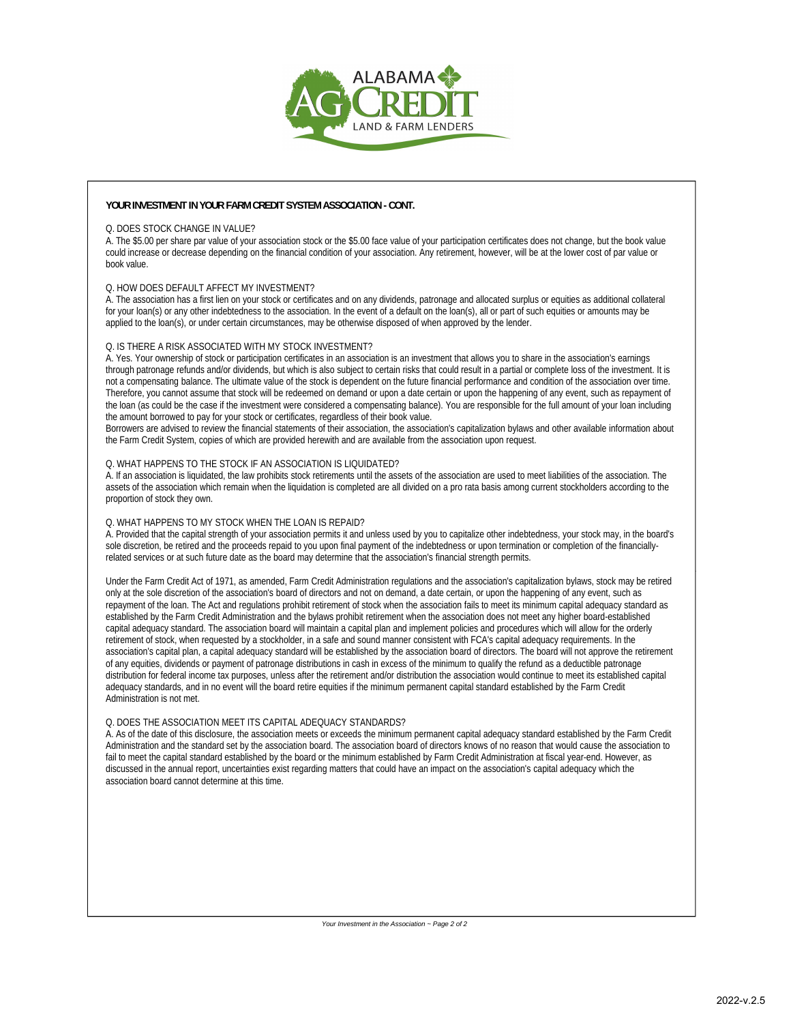

#### **YOUR INVESTMENT IN YOUR FARM CREDIT SYSTEM ASSOCIATION - CONT.**

#### Q. DOES STOCK CHANGE IN VALUE?

A. The \$5.00 per share par value of your association stock or the \$5.00 face value of your participation certificates does not change, but the book value could increase or decrease depending on the financial condition of your association. Any retirement, however, will be at the lower cost of par value or book value.

#### Q. HOW DOES DEFAULT AFFECT MY INVESTMENT?

A. The association has a first lien on your stock or certificates and on any dividends, patronage and allocated surplus or equities as additional collateral for your loan(s) or any other indebtedness to the association. In the event of a default on the loan(s), all or part of such equities or amounts may be applied to the loan(s), or under certain circumstances, may be otherwise disposed of when approved by the lender.

#### Q. IS THERE A RISK ASSOCIATED WITH MY STOCK INVESTMENT?

A. Yes. Your ownership of stock or participation certificates in an association is an investment that allows you to share in the association's earnings through patronage refunds and/or dividends, but which is also subject to certain risks that could result in a partial or complete loss of the investment. It is not a compensating balance. The ultimate value of the stock is dependent on the future financial performance and condition of the association over time. Therefore, you cannot assume that stock will be redeemed on demand or upon a date certain or upon the happening of any event, such as repayment of the loan (as could be the case if the investment were considered a compensating balance). You are responsible for the full amount of your loan including the amount borrowed to pay for your stock or certificates, regardless of their book value.

Borrowers are advised to review the financial statements of their association, the association's capitalization bylaws and other available information about the Farm Credit System, copies of which are provided herewith and are available from the association upon request.

#### Q. WHAT HAPPENS TO THE STOCK IF AN ASSOCIATION IS LIQUIDATED?

A. If an association is liquidated, the law prohibits stock retirements until the assets of the association are used to meet liabilities of the association. The assets of the association which remain when the liquidation is completed are all divided on a pro rata basis among current stockholders according to the proportion of stock they own.

#### Q. WHAT HAPPENS TO MY STOCK WHEN THE LOAN IS REPAID?

A. Provided that the capital strength of your association permits it and unless used by you to capitalize other indebtedness, your stock may, in the board's sole discretion, be retired and the proceeds repaid to you upon final payment of the indebtedness or upon termination or completion of the financiallyrelated services or at such future date as the board may determine that the association's financial strength permits.

Under the Farm Credit Act of 1971, as amended, Farm Credit Administration regulations and the association's capitalization bylaws, stock may be retired only at the sole discretion of the association's board of directors and not on demand, a date certain, or upon the happening of any event, such as repayment of the loan. The Act and regulations prohibit retirement of stock when the association fails to meet its minimum capital adequacy standard as established by the Farm Credit Administration and the bylaws prohibit retirement when the association does not meet any higher board-established capital adequacy standard. The association board will maintain a capital plan and implement policies and procedures which will allow for the orderly retirement of stock, when requested by a stockholder, in a safe and sound manner consistent with FCA's capital adequacy requirements. In the association's capital plan, a capital adequacy standard will be established by the association board of directors. The board will not approve the retirement of any equities, dividends or payment of patronage distributions in cash in excess of the minimum to qualify the refund as a deductible patronage distribution for federal income tax purposes, unless after the retirement and/or distribution the association would continue to meet its established capital adequacy standards, and in no event will the board retire equities if the minimum permanent capital standard established by the Farm Credit Administration is not met.

#### Q. DOES THE ASSOCIATION MEET ITS CAPITAL ADEQUACY STANDARDS?

A. As of the date of this disclosure, the association meets or exceeds the minimum permanent capital adequacy standard established by the Farm Credit Administration and the standard set by the association board. The association board of directors knows of no reason that would cause the association to fail to meet the capital standard established by the board or the minimum established by Farm Credit Administration at fiscal year-end. However, as discussed in the annual report, uncertainties exist regarding matters that could have an impact on the association's capital adequacy which the association board cannot determine at this time.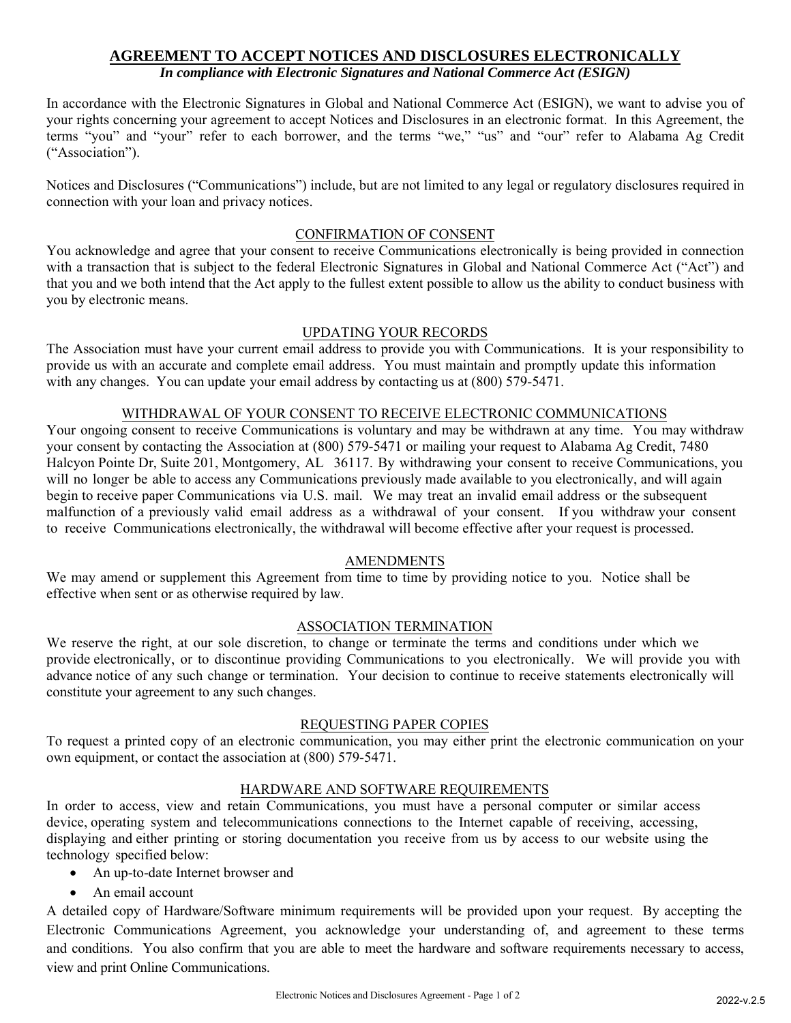## **AGREEMENT TO ACCEPT NOTICES AND DISCLOSURES ELECTRONICALLY**

## *In compliance with Electronic Signatures and National Commerce Act (ESIGN)*

In accordance with the Electronic Signatures in Global and National Commerce Act (ESIGN), we want to advise you of your rights concerning your agreement to accept Notices and Disclosures in an electronic format. In this Agreement, the terms "you" and "your" refer to each borrower, and the terms "we," "us" and "our" refer to Alabama Ag Credit ("Association").

Notices and Disclosures ("Communications") include, but are not limited to any legal or regulatory disclosures required in connection with your loan and privacy notices.

## CONFIRMATION OF CONSENT

You acknowledge and agree that your consent to receive Communications electronically is being provided in connection with a transaction that is subject to the federal Electronic Signatures in Global and National Commerce Act ("Act") and that you and we both intend that the Act apply to the fullest extent possible to allow us the ability to conduct business with you by electronic means.

## UPDATING YOUR RECORDS

The Association must have your current email address to provide you with Communications. It is your responsibility to provide us with an accurate and complete email address. You must maintain and promptly update this information with any changes. You can update your email address by contacting us at  $(800)$  579-5471.

## WITHDRAWAL OF YOUR CONSENT TO RECEIVE ELECTRONIC COMMUNICATIONS

Your ongoing consent to receive Communications is voluntary and may be withdrawn at any time. You may withdraw your consent by contacting the Association at (800) 579-5471 or mailing your request to Alabama Ag Credit, 7480 Halcyon Pointe Dr, Suite 201, Montgomery, AL 36117. By withdrawing your consent to receive Communications, you will no longer be able to access any Communications previously made available to you electronically, and will again begin to receive paper Communications via U.S. mail. We may treat an invalid email address or the subsequent malfunction of a previously valid email address as a withdrawal of your consent. If you withdraw your consent to receive Communications electronically, the withdrawal will become effective after your request is processed.

## AMENDMENTS

We may amend or supplement this Agreement from time to time by providing notice to you. Notice shall be effective when sent or as otherwise required by law.

## ASSOCIATION TERMINATION

We reserve the right, at our sole discretion, to change or terminate the terms and conditions under which we provide electronically, or to discontinue providing Communications to you electronically. We will provide you with advance notice of any such change or termination. Your decision to continue to receive statements electronically will constitute your agreement to any such changes.

## REQUESTING PAPER COPIES

To request a printed copy of an electronic communication, you may either print the electronic communication on your own equipment, or contact the association at (800) 579-5471.

## HARDWARE AND SOFTWARE REQUIREMENTS

In order to access, view and retain Communications, you must have a personal computer or similar access device, operating system and telecommunications connections to the Internet capable of receiving, accessing, displaying and either printing or storing documentation you receive from us by access to our website using the technology specified below:

- An up-to-date Internet browser and
- An email account

A detailed copy of Hardware/Software minimum requirements will be provided upon your request. By accepting the Electronic Communications Agreement, you acknowledge your understanding of, and agreement to these terms and conditions. You also confirm that you are able to meet the hardware and software requirements necessary to access, view and print Online Communications.